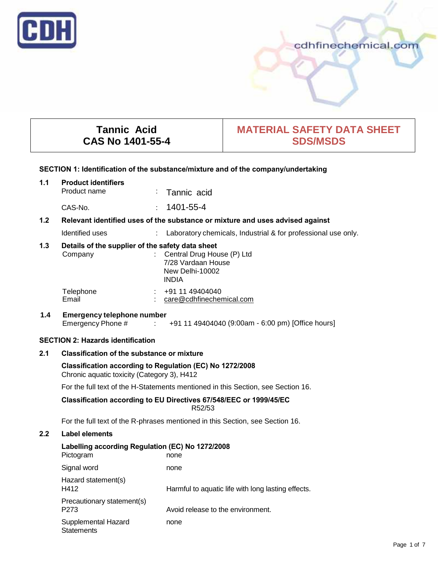

# cdhfinechemical.com

# **Tannic Acid CAS No 1401-55-4**

# **MATERIAL SAFETY DATA SHEET SDS/MSDS**

# **SECTION 1: Identification of the substance/mixture and of the company/undertaking**

| 1.1              | <b>Product identifiers</b>                                                                              |  |                                                                                       |  |  |
|------------------|---------------------------------------------------------------------------------------------------------|--|---------------------------------------------------------------------------------------|--|--|
|                  | Product name                                                                                            |  | Tannic acid                                                                           |  |  |
|                  | CAS-No.                                                                                                 |  | $: 1401 - 55 - 4$                                                                     |  |  |
| 1.2 <sub>2</sub> | Relevant identified uses of the substance or mixture and uses advised against                           |  |                                                                                       |  |  |
|                  | Identified uses                                                                                         |  | : Laboratory chemicals, Industrial & for professional use only.                       |  |  |
| 1.3              | Details of the supplier of the safety data sheet<br>Company                                             |  | : Central Drug House (P) Ltd<br>7/28 Vardaan House<br>New Delhi-10002<br><b>INDIA</b> |  |  |
|                  | Telephone<br>Email                                                                                      |  | $\div$ +91 11 49404040<br>$:$ care@cdhfinechemical.com                                |  |  |
| 1.4              | <b>Emergency telephone number</b>                                                                       |  | Emergency Phone # : +91 11 49404040 (9:00am - 6:00 pm) [Office hours]                 |  |  |
|                  | <b>SECTION 2: Hazards identification</b>                                                                |  |                                                                                       |  |  |
| 2.1              | Classification of the substance or mixture                                                              |  |                                                                                       |  |  |
|                  | Classification according to Regulation (EC) No 1272/2008<br>Chronic aquatic toxicity (Category 3), H412 |  |                                                                                       |  |  |

For the full text of the H-Statements mentioned in this Section, see Section 16.

#### **Classification according to EU Directives 67/548/EEC or 1999/45/EC** R52/53

For the full text of the R-phrases mentioned in this Section, see Section 16.

# **2.2 Label elements**

| Labelling according Regulation (EC) No 1272/2008<br>Pictogram<br>none |                                                    |  |  |
|-----------------------------------------------------------------------|----------------------------------------------------|--|--|
| Signal word                                                           | none                                               |  |  |
| Hazard statement(s)<br>H412                                           | Harmful to aquatic life with long lasting effects. |  |  |
| Precautionary statement(s)<br>P <sub>273</sub>                        | Avoid release to the environment.                  |  |  |
| Supplemental Hazard<br><b>Statements</b>                              | none                                               |  |  |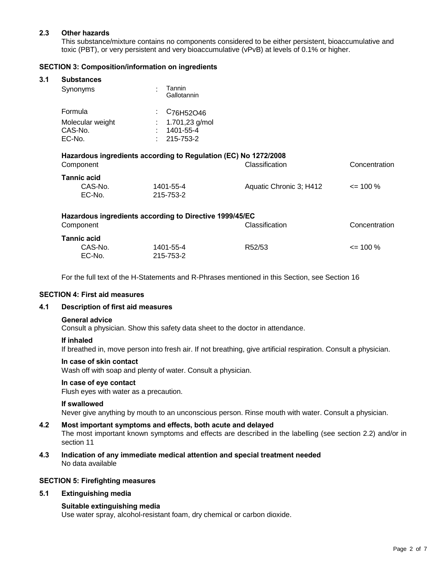# **2.3 Other hazards**

This substance/mixture contains no components considered to be either persistent, bioaccumulative and toxic (PBT), or very persistent and very bioaccumulative (vPvB) at levels of 0.1% or higher.

# **SECTION 3: Composition/information on ingredients**

#### **3.1 Substances**

| Tannin<br>Gallotannin                                         |
|---------------------------------------------------------------|
| $\frac{1}{2}$ C <sub>76</sub> H <sub>52</sub> O <sub>46</sub> |
| : $1.701,23$ g/mol                                            |
| 1401-55-4                                                     |
| $: 215 - 753 - 2$                                             |
|                                                               |

| Hazardous ingredients according to Requiation (EC) No 1272/2008<br>Component |                        | Classification          | Concentration |  |
|------------------------------------------------------------------------------|------------------------|-------------------------|---------------|--|
| <b>Tannic acid</b><br>CAS-No.<br>EC-No.                                      | 1401-55-4<br>215-753-2 | Aquatic Chronic 3; H412 | $\leq$ 100 %  |  |

**Hazardous ingredients according to Regulation (EC) No 1272/2008**

|                    | Hazardous ingredients according to Directive 1999/45/EC |                     |               |
|--------------------|---------------------------------------------------------|---------------------|---------------|
| Component          |                                                         | Classification      | Concentration |
| <b>Tannic acid</b> |                                                         |                     |               |
| CAS-No.            | 1401-55-4                                               | R <sub>52</sub> /53 | $\leq$ 100 %  |
| EC-No.             | 215-753-2                                               |                     |               |

For the full text of the H-Statements and R-Phrases mentioned in this Section, see Section 16

#### **SECTION 4: First aid measures**

#### **4.1 Description of first aid measures**

#### **General advice**

Consult a physician. Show this safety data sheet to the doctor in attendance.

#### **If inhaled**

If breathed in, move person into fresh air. If not breathing, give artificial respiration. Consult a physician.

#### **In case of skin contact**

Wash off with soap and plenty of water. Consult a physician.

#### **In case of eye contact**

Flush eyes with water as a precaution.

#### **If swallowed**

Never give anything by mouth to an unconscious person. Rinse mouth with water. Consult a physician.

## **4.2 Most important symptoms and effects, both acute and delayed**

The most important known symptoms and effects are described in the labelling (see section 2.2) and/or in section 11

**4.3 Indication of any immediate medical attention and special treatment needed** No data available

#### **SECTION 5: Firefighting measures**

## **5.1 Extinguishing media**

## **Suitable extinguishing media**

Use water spray, alcohol-resistant foam, dry chemical or carbon dioxide.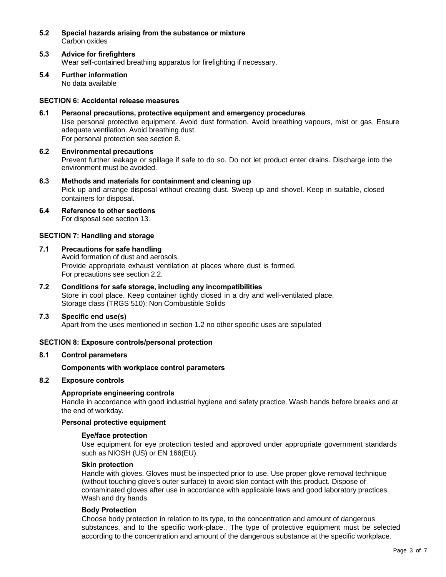- **5.2 Special hazards arising from the substance or mixture** Carbon oxides
- **5.3 Advice for firefighters** Wear self-contained breathing apparatus for firefighting if necessary.
- **5.4 Further information** No data available

# **SECTION 6: Accidental release measures**

- **6.1 Personal precautions, protective equipment and emergency procedures** Use personal protective equipment. Avoid dust formation. Avoid breathing vapours, mist or gas. Ensure adequate ventilation. Avoid breathing dust. For personal protection see section 8.
- **6.2 Environmental precautions** Prevent further leakage or spillage if safe to do so. Do not let product enter drains. Discharge into the environment must be avoided.
- **6.3 Methods and materials for containment and cleaning up** Pick up and arrange disposal without creating dust. Sweep up and shovel. Keep in suitable, closed containers for disposal.
- **6.4 Reference to other sections** For disposal see section 13.

## **SECTION 7: Handling and storage**

## **7.1 Precautions for safe handling**

Avoid formation of dust and aerosols. Provide appropriate exhaust ventilation at places where dust is formed. For precautions see section 2.2.

**7.2 Conditions for safe storage, including any incompatibilities** Store in cool place. Keep container tightly closed in a dry and well-ventilated place. Storage class (TRGS 510): Non Combustible Solids

## **7.3 Specific end use(s)**

Apart from the uses mentioned in section 1.2 no other specific uses are stipulated

## **SECTION 8: Exposure controls/personal protection**

#### **8.1 Control parameters**

## **Components with workplace control parameters**

# **8.2 Exposure controls**

## **Appropriate engineering controls**

Handle in accordance with good industrial hygiene and safety practice. Wash hands before breaks and at the end of workday.

#### **Personal protective equipment**

#### **Eye/face protection**

Use equipment for eye protection tested and approved under appropriate government standards such as NIOSH (US) or EN 166(EU).

#### **Skin protection**

Handle with gloves. Gloves must be inspected prior to use. Use proper glove removal technique (without touching glove's outer surface) to avoid skin contact with this product. Dispose of contaminated gloves after use in accordance with applicable laws and good laboratory practices. Wash and dry hands.

#### **Body Protection**

Choose body protection in relation to its type, to the concentration and amount of dangerous substances, and to the specific work-place., The type of protective equipment must be selected according to the concentration and amount of the dangerous substance at the specific workplace.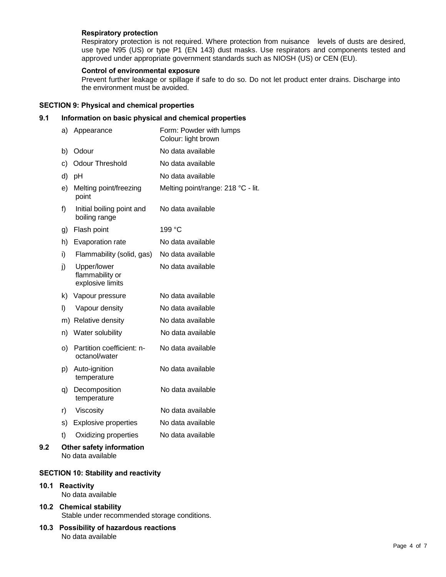#### **Respiratory protection**

Respiratory protection is not required. Where protection from nuisance levels of dusts are desired, use type N95 (US) or type P1 (EN 143) dust masks. Use respirators and components tested and approved under appropriate government standards such as NIOSH (US) or CEN (EU).

#### **Control of environmental exposure**

Prevent further leakage or spillage if safe to do so. Do not let product enter drains. Discharge into the environment must be avoided.

# **SECTION 9: Physical and chemical properties**

#### **9.1 Information on basic physical and chemical properties**

|     | a) | Appearance                                         | Form: Powder with lumps<br>Colour: light brown |
|-----|----|----------------------------------------------------|------------------------------------------------|
|     | b) | Odour                                              | No data available                              |
|     | C) | <b>Odour Threshold</b>                             | No data available                              |
|     | d) | pH                                                 | No data available                              |
|     | e) | Melting point/freezing<br>point                    | Melting point/range: 218 °C - lit.             |
|     | f) | Initial boiling point and<br>boiling range         | No data available                              |
|     | g) | Flash point                                        | 199 °C                                         |
|     | h) | Evaporation rate                                   | No data available                              |
|     | i) | Flammability (solid, gas)                          | No data available                              |
|     | j) | Upper/lower<br>flammability or<br>explosive limits | No data available                              |
|     | k) | Vapour pressure                                    | No data available                              |
|     | I) | Vapour density                                     | No data available                              |
|     |    | m) Relative density                                | No data available                              |
|     | n) | Water solubility                                   | No data available                              |
|     | O) | Partition coefficient: n-<br>octanol/water         | No data available                              |
|     | p) | Auto-ignition<br>temperature                       | No data available                              |
|     | q) | Decomposition<br>temperature                       | No data available                              |
|     | r) | Viscosity                                          | No data available                              |
|     | s) | <b>Explosive properties</b>                        | No data available                              |
|     | t) | Oxidizing properties                               | No data available                              |
| 9.2 |    | Other safety information                           |                                                |

No data available

# **SECTION 10: Stability and reactivity**

# **10.1 Reactivity**

No data available

# **10.2 Chemical stability** Stable under recommended storage conditions.

**10.3 Possibility of hazardous reactions** No data available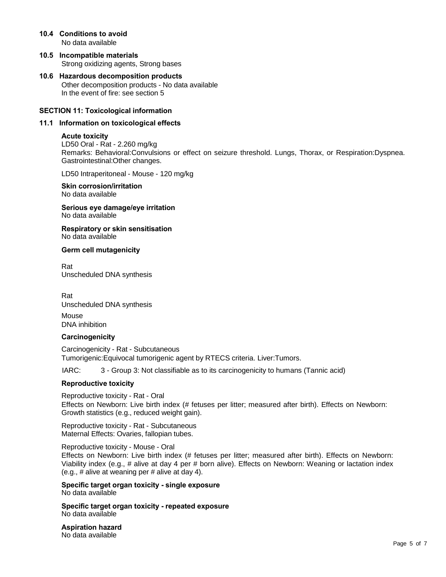- **10.4 Conditions to avoid** No data available
- **10.5 Incompatible materials** Strong oxidizing agents, Strong bases
- **10.6 Hazardous decomposition products** Other decomposition products - No data available In the event of fire: see section 5

## **SECTION 11: Toxicological information**

#### **11.1 Information on toxicological effects**

#### **Acute toxicity**

LD50 Oral - Rat - 2.260 mg/kg Remarks: Behavioral:Convulsions or effect on seizure threshold. Lungs, Thorax, or Respiration:Dyspnea. Gastrointestinal:Other changes.

LD50 Intraperitoneal - Mouse - 120 mg/kg

#### **Skin corrosion/irritation** No data available

**Serious eye damage/eye irritation** No data available

**Respiratory or skin sensitisation** No data available

#### **Germ cell mutagenicity**

Rat Unscheduled DNA synthesis

Rat Unscheduled DNA synthesis

Mouse DNA inhibition

#### **Carcinogenicity**

Carcinogenicity - Rat - Subcutaneous Tumorigenic:Equivocal tumorigenic agent by RTECS criteria. Liver:Tumors.

IARC: 3 - Group 3: Not classifiable as to its carcinogenicity to humans (Tannic acid)

#### **Reproductive toxicity**

Reproductive toxicity - Rat - Oral Effects on Newborn: Live birth index (# fetuses per litter; measured after birth). Effects on Newborn: Growth statistics (e.g., reduced weight gain).

Reproductive toxicity - Rat - Subcutaneous Maternal Effects: Ovaries, fallopian tubes.

Reproductive toxicity - Mouse - Oral Effects on Newborn: Live birth index (# fetuses per litter; measured after birth). Effects on Newborn: Viability index (e.g., # alive at day 4 per # born alive). Effects on Newborn: Weaning or lactation index (e.g., # alive at weaning per # alive at day 4).

**Specific target organ toxicity - single exposure** No data available

**Specific target organ toxicity - repeated exposure** No data available

**Aspiration hazard** No data available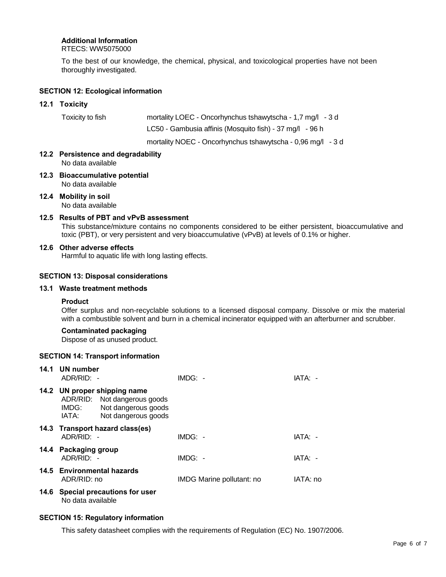# **Additional Information**

RTECS: WW5075000

To the best of our knowledge, the chemical, physical, and toxicological properties have not been thoroughly investigated.

# **SECTION 12: Ecological information**

# **12.1 Toxicity**

| Toxicity to fish | mortality LOEC - Oncorhynchus tshawytscha - 1,7 mg/l - 3 d |
|------------------|------------------------------------------------------------|
|                  | LC50 - Gambusia affinis (Mosquito fish) - 37 mg/l - 96 h   |

mortality NOEC - Oncorhynchus tshawytscha - 0,96 mg/l - 3 d

# **12.2 Persistence and degradability** No data available

- **12.3 Bioaccumulative potential** No data available
- **12.4 Mobility in soil** No data available

# **12.5 Results of PBT and vPvB assessment**

This substance/mixture contains no components considered to be either persistent, bioaccumulative and toxic (PBT), or very persistent and very bioaccumulative (vPvB) at levels of 0.1% or higher.

# **12.6 Other adverse effects**

Harmful to aquatic life with long lasting effects.

# **SECTION 13: Disposal considerations**

# **13.1 Waste treatment methods**

## **Product**

Offer surplus and non-recyclable solutions to a licensed disposal company. Dissolve or mix the material with a combustible solvent and burn in a chemical incinerator equipped with an afterburner and scrubber.

## **Contaminated packaging**

Dispose of as unused product.

## **SECTION 14: Transport information**

| 14.1 UN number<br>ADR/RID: -              |                                                                                                            | $IMDG: -$                 | IATA: -  |
|-------------------------------------------|------------------------------------------------------------------------------------------------------------|---------------------------|----------|
| IMDG:<br>IATA:                            | 14.2 UN proper shipping name<br>ADR/RID: Not dangerous goods<br>Not dangerous goods<br>Not dangerous goods |                           |          |
| ADR/RID: -                                | 14.3 Transport hazard class(es)                                                                            | $IMDG: -$                 | IATA: -  |
| 14.4 Packaging group<br>$ADR/RID: -$      |                                                                                                            | $IMDG: -$                 | IATA: -  |
| 14.5 Environmental hazards<br>ADR/RID: no |                                                                                                            | IMDG Marine pollutant: no | IATA: no |
| No data available                         | 14.6 Special precautions for user                                                                          |                           |          |

## **SECTION 15: Regulatory information**

This safety datasheet complies with the requirements of Regulation (EC) No. 1907/2006.